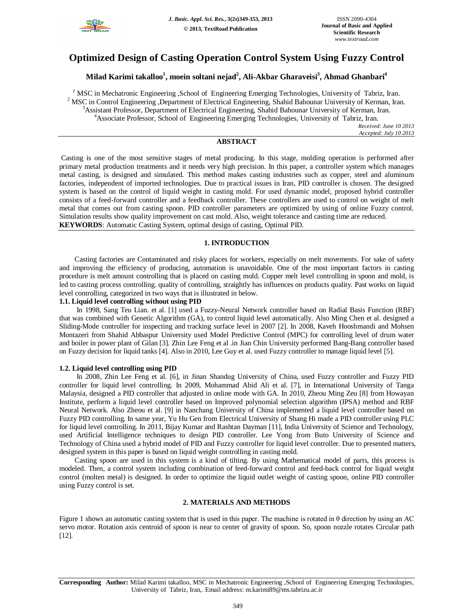

# **Optimized Design of Casting Operation Control System Using Fuzzy Control**

## **Milad Karimi takalloo<sup>1</sup> , moein soltani nejad<sup>2</sup> , Ali-Akbar Gharaveisi<sup>3</sup> , Ahmad Ghanbari<sup>4</sup>**

 MSC in Mechatronic Engineering ,School of Engineering Emerging Technologies, University of Tabriz, Iran. <sup>2</sup> MSC in Control Engineering ,Department of Electrical Engineering, Shahid Bahounar University of Kerman, Iran. Assistant Professor, Department of Electrical Engineering, Shahid Bahounar University of Kerman, Iran. Associate Professor, School of Engineering Emerging Technologies, University of Tabriz, Iran.

*Received: June 10 2013 Accepted: July 10 2013*

## **ABSTRACT**

Casting is one of the most sensitive stages of metal producing. In this stage, molding operation is performed after primary metal production treatments and it needs very high precision. In this paper, a controller system which manages metal casting, is designed and simulated. This method makes casting industries such as copper, steel and aluminum factories, independent of imported technologies. Due to practical issues in Iran, PID controller is chosen. The designed system is based on the control of liquid weight in casting mold. For used dynamic model, proposed hybrid controller consists of a feed-forward controller and a feedback controller. These controllers are used to control on weight of melt metal that comes out from casting spoon. PID controller parameters are optimized by using of online Fuzzy control. Simulation results show quality improvement on cast mold. Also, weight tolerance and casting time are reduced. **KEYWORDS**: Automatic Casting System, optimal design of casting, Optimal PID.

## **1. INTRODUCTION**

Casting factories are Contaminated and risky places for workers, especially on melt movements. For sake of safety and improving the efficiency of producing, automation is unavoidable. One of the most important factors in casting procedure is melt amount controlling that is placed on casting mold. Copper melt level controlling in spoon and mold, is led to casting process controlling. quality of controlling, straightly has influences on products quality. Past works on liquid level controlling, categorized in two ways that is illustrated in below.

## **1.1. Liquid level controlling without using PID**

In 1998, Sang Teu Lian. et al. [1] used a Fuzzy-Neural Network controller based on Radial Basis Function (RBF) that was combined with Genetic Algorithm (GA), to control liquid level automatically. Also Ming Chen et al. designed a Sliding-Mode controller for inspecting and tracking surface level in 2007 [2]. In 2008, Kaveh Hooshmandi and Mohsen Montazeri from Shahid Abbaspur University used Model Predictive Control (MPC) for controlling level of drum water and boiler in power plant of Gilan [3]. Zhin Lee Feng et al .in Jian Chin University performed Bang-Bang controller based on Fuzzy decision for liquid tanks [4]. Also in 2010, Lee Guy et al. used Fuzzy controller to manage liquid level [5].

#### **1.2. Liquid level controlling using PID**

In 2008, Zhin Lee Feng et al. [6], in Jinan Shandug University of China, used Fuzzy controller and Fuzzy PID controller for liquid level controlling. In 2009, Mohammad Abid Ali et al. [7], in International University of Tanga Malaysia, designed a PID controller that adjusted in online mode with GA. In 2010, Zheou Ming Zeu [8] from Howayan Institute, perform a liquid level controller based on Improved polynomial selection algorithm (IPSA) method and RBF Neural Network. Also Zheou et al. [9] in Nanchang University of China implemented a liquid level controller based on Fuzzy PID controlling. In same year, Yu Hu Gen from Electrical University of Shang Hi made a PID controller using PLC for liquid level controlling. In 2011, Bijay Kumar and Rashtan Dayman [11], India University of Science and Technology, used Artificial Intelligence techniques to design PID controller. Lee Yong from Buto University of Science and Technology of China used a hybrid model of PID and Fuzzy controller for liquid level controller. Due to presented matters, designed system in this paper is based on liquid weight controlling in casting mold.

Casting spoon are used in this system is a kind of tilting. By using Mathematical model of parts, this process is modeled. Then, a control system including combination of feed-forward control and feed-back control for liquid weight control (molten metal) is designed. In order to optimize the liquid outlet weight of casting spoon, online PID controller using Fuzzy control is set.

## **2. MATERIALS AND METHODS**

Figure 1 shows an automatic casting system that is used in this paper. The machine is rotated in  $\theta$  direction by using an AC servo motor. Rotation axis centroid of spoon is near to center of gravity of spoon. So, spoon nozzle rotates Circular path [12].

**Corresponding Author:** Milad Karimi takalloo, MSC in Mechatronic Engineering ,School of Engineering Emerging Technologies, University of Tabriz, Iran,. Email address: m.karimi89@ms.tabrizu.ac.ir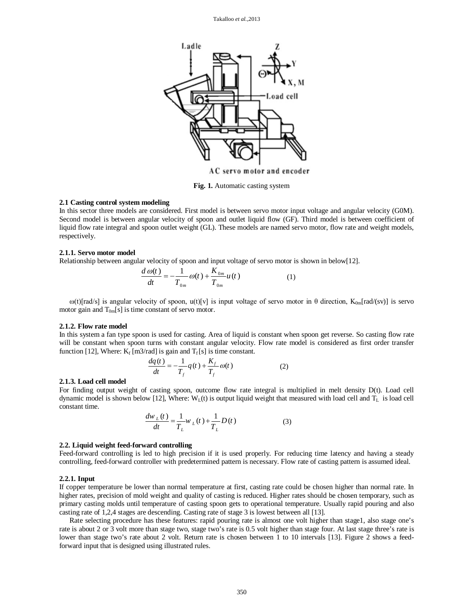

**Fig. 1.** Automatic casting system

#### **2.1 Casting control system modeling**

In this sector three models are considered. First model is between servo motor input voltage and angular velocity (G0M). Second model is between angular velocity of spoon and outlet liquid flow (GF). Third model is between coefficient of liquid flow rate integral and spoon outlet weight (GL). These models are named servo motor, flow rate and weight models, respectively.

#### **2.1.1. Servo motor model**

Relationship between angular velocity of spoon and input voltage of servo motor is shown in below[12].

$$
\frac{d\omega(t)}{dt} = -\frac{1}{T_{0m}}\omega(t) + \frac{K_{0m}}{T_{0m}}u(t)
$$
\n(1)

ω(t)[rad/s] is angular velocity of spoon, u(t)[v] is input voltage of servo motor in θ direction, K<sub>0m</sub>[rad/(sv)] is servo motor gain and  $T_{0m}[s]$  is time constant of servo motor.

#### **2.1.2. Flow rate model**

In this system a fan type spoon is used for casting. Area of liquid is constant when spoon get reverse. So casting flow rate will be constant when spoon turns with constant angular velocity. Flow rate model is considered as first order transfer function [12], Where:  $K_f$  [m3/rad] is gain and  $T_f[s]$  is time constant.

$$
\frac{dq(t)}{dt} = -\frac{1}{T_f}q(t) + \frac{K_f}{T_f}\omega(t)
$$
\n(2)

#### **2.1.3. Load cell model**

For finding output weight of casting spoon, outcome flow rate integral is multiplied in melt density D(t). Load cell dynamic model is shown below [12], Where:  $W<sub>L</sub>(t)$  is output liquid weight that measured with load cell and  $T<sub>L</sub>$  is load cell constant time.

$$
\frac{dw_{L}(t)}{dt} = \frac{1}{T_{L}}w_{L}(t) + \frac{1}{T_{L}}D(t)
$$
\n(3)

#### **2.2. Liquid weight feed-forward controlling**

Feed-forward controlling is led to high precision if it is used properly. For reducing time latency and having a steady controlling, feed-forward controller with predetermined pattern is necessary. Flow rate of casting pattern is assumed ideal.

#### **2.2.1. Input**

If copper temperature be lower than normal temperature at first, casting rate could be chosen higher than normal rate. In higher rates, precision of mold weight and quality of casting is reduced. Higher rates should be chosen temporary, such as primary casting molds until temperature of casting spoon gets to operational temperature. Usually rapid pouring and also casting rate of 1,2,4 stages are descending. Casting rate of stage 3 is lowest between all [13].

Rate selecting procedure has these features: rapid pouring rate is almost one volt higher than stage1, also stage one's rate is about 2 or 3 volt more than stage two, stage two's rate is 0.5 volt higher than stage four. At last stage three's rate is lower than stage two's rate about 2 volt. Return rate is chosen between 1 to 10 intervals [13]. Figure 2 shows a feedforward input that is designed using illustrated rules.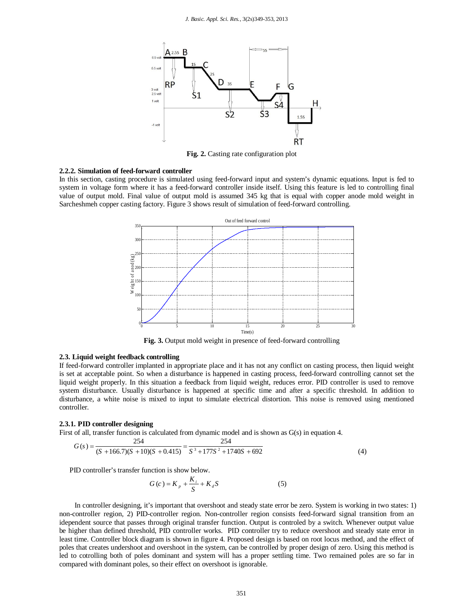

**Fig. 2.** Casting rate configuration plot

#### **2.2.2. Simulation of feed-forward controller**

In this section, casting procedure is simulated using feed-forward input and system's dynamic equations. Input is fed to system in voltage form where it has a feed-forward controller inside itself. Using this feature is led to controlling final value of output mold. Final value of output mold is assumed 345 kg that is equal with copper anode mold weight in Sarcheshmeh copper casting factory. Figure 3 shows result of simulation of feed-forward controlling.



**Fig. 3.** Output mold weight in presence of feed-forward controlling

## **2.3. Liquid weight feedback controlling**

If feed-forward controller implanted in appropriate place and it has not any conflict on casting process, then liquid weight is set at acceptable point. So when a disturbance is happened in casting process, feed-forward controlling cannot set the liquid weight properly. In this situation a feedback from liquid weight, reduces error. PID controller is used to remove system disturbance. Usually disturbance is happened at specific time and after a specific threshold. In addition to disturbance, a white noise is mixed to input to simulate electrical distortion. This noise is removed using mentioned controller.

#### **2.3.1. PID controller designing**

First of all, transfer function is calculated from dynamic model and is shown as G(s) in equation 4.

$$
G(s) = \frac{254}{(S+166.7)(S+10)(S+0.415)} = \frac{254}{S^3 + 177S^2 + 1740S + 692}
$$
(4)

PID controller's transfer function is show below.

$$
G(c) = K_p + \frac{K_i}{S} + K_d S
$$
 (5)

In controller designing, it's important that overshoot and steady state error be zero. System is working in two states: 1) non-controller region, 2) PID-controller region. Non-controller region consists feed-forward signal transition from an idependent source that passes through original transfer function. Output is controled by a switch. Whenever output value be higher than defined threshold, PID controller works. PID controller try to reduce overshoot and steady state error in least time. Controller block diagram is shown in figure 4. Proposed design is based on root locus method, and the effect of poles that creates undershoot and overshoot in the system, can be controlled by proper design of zero. Using this method is led to cotrolling both of poles dominant and system will has a proper settling time. Two remained poles are so far in compared with dominant poles, so their effect on overshoot is ignorable.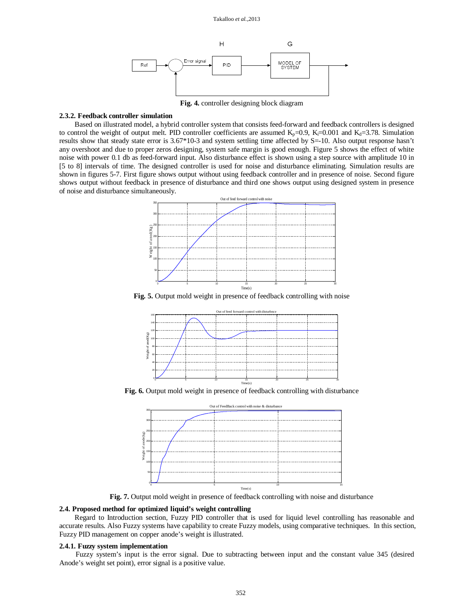

**Fig. 4.** controller designing block diagram

#### **2.3.2. Feedback controller simulation**

Based on illustrated model, a hybrid controller system that consists feed-forward and feedback controllers is designed to control the weight of output melt. PID controller coefficients are assumed  $K_p=0.9$ ,  $K_p=0.001$  and  $K_d=3.78$ . Simulation results show that steady state error is 3.67\*10-3 and system settling time affected by S=-10. Also output response hasn't any overshoot and due to proper zeros designing, system safe margin is good enough. Figure 5 shows the effect of white noise with power 0.1 db as feed-forward input. Also disturbance effect is shown using a step source with amplitude 10 in [5 to 8] intervals of time. The designed controller is used for noise and disturbance eliminating. Simulation results are shown in figures 5-7. First figure shows output without using feedback controller and in presence of noise. Second figure shows output without feedback in presence of disturbance and third one shows output using designed system in presence of noise and disturbance simultaneously.



**Fig. 5.** Output mold weight in presence of feedback controlling with noise



**Fig. 6.** Output mold weight in presence of feedback controlling with disturbance



**Fig. 7.** Output mold weight in presence of feedback controlling with noise and disturbance

#### **2.4. Proposed method for optimized liquid's weight controlling**

Regard to Introduction section, Fuzzy PID controller that is used for liquid level controlling has reasonable and accurate results. Also Fuzzy systems have capability to create Fuzzy models, using comparative techniques. In this section, Fuzzy PID management on copper anode's weight is illustrated.

### **2.4.1. Fuzzy system implementation**

Fuzzy system's input is the error signal. Due to subtracting between input and the constant value 345 (desired Anode's weight set point), error signal is a positive value.